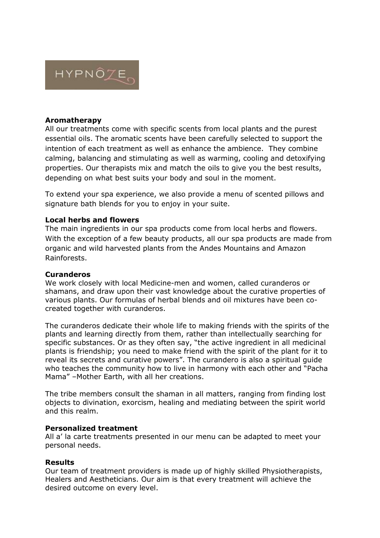

## **Aromatherapy**

All our treatments come with specific scents from local plants and the purest essential oils. The aromatic scents have been carefully selected to support the intention of each treatment as well as enhance the ambience. They combine calming, balancing and stimulating as well as warming, cooling and detoxifying properties. Our therapists mix and match the oils to give you the best results, depending on what best suits your body and soul in the moment.

To extend your spa experience, we also provide a menu of scented pillows and signature bath blends for you to enjoy in your suite.

# **Local herbs and flowers**

The main ingredients in our spa products come from local herbs and flowers. With the exception of a few beauty products, all our spa products are made from organic and wild harvested plants from the Andes Mountains and Amazon Rainforests.

#### **Curanderos**

We work closely with local Medicine-men and women, called curanderos or shamans, and draw upon their vast knowledge about the curative properties of various plants. Our formulas of herbal blends and oil mixtures have been cocreated together with curanderos.

The curanderos dedicate their whole life to making friends with the spirits of the plants and learning directly from them, rather than intellectually searching for specific substances. Or as they often say, "the active ingredient in all medicinal plants is friendship; you need to make friend with the spirit of the plant for it to reveal its secrets and curative powers". The curandero is also a spiritual guide who teaches the community how to live in harmony with each other and "Pacha Mama" –Mother Earth, with all her creations.

The tribe members consult the shaman in all matters, ranging from finding lost objects to divination, exorcism, healing and mediating between the spirit world and this realm.

#### **Personalized treatment**

All a' la carte treatments presented in our menu can be adapted to meet your personal needs.

#### **Results**

Our team of treatment providers is made up of highly skilled Physiotherapists, Healers and Aestheticians. Our aim is that every treatment will achieve the desired outcome on every level.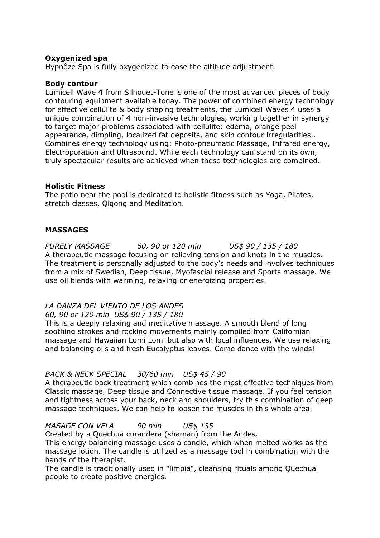# **Oxygenized spa**

Hypnôze Spa is fully oxygenized to ease the altitude adjustment.

#### **Body contour**

Lumicell Wave 4 from Silhouet-Tone is one of the most advanced pieces of body contouring equipment available today. The power of combined energy technology for effective cellulite & body shaping treatments, the Lumicell Waves 4 uses a unique combination of 4 non-invasive technologies, working together in synergy to target major problems associated with cellulite: edema, orange peel appearance, dimpling, localized fat deposits, and skin contour irregularities.. Combines energy technology using: Photo-pneumatic Massage, Infrared energy, Electroporation and Ultrasound. While each technology can stand on its own, truly spectacular results are achieved when these technologies are combined.

# **Holistic Fitness**

The patio near the pool is dedicated to holistic fitness such as Yoga, Pilates, stretch classes, Qigong and Meditation.

# **MASSAGES**

*PURELY MASSAGE 60, 90 or 120 min US\$ 90 / 135 / 180* A therapeutic massage focusing on relieving tension and knots in the muscles. The treatment is personally adjusted to the body's needs and involves techniques from a mix of Swedish, Deep tissue, Myofascial release and Sports massage. We use oil blends with warming, relaxing or energizing properties.

# *LA DANZA DEL VIENTO DE LOS ANDES*

*60, 90 or 120 min US\$ 90 / 135 / 180*

This is a deeply relaxing and meditative massage. A smooth blend of long soothing strokes and rocking movements mainly compiled from Californian massage and Hawaiian Lomi Lomi but also with local influences. We use relaxing and balancing oils and fresh Eucalyptus leaves. Come dance with the winds!

# *BACK & NECK SPECIAL 30/60 min US\$ 45 / 90*

A therapeutic back treatment which combines the most effective techniques from Classic massage, Deep tissue and Connective tissue massage. If you feel tension and tightness across your back, neck and shoulders, try this combination of deep massage techniques. We can help to loosen the muscles in this whole area.

# *MASAGE CON VELA 90 min US\$ 135*

Created by a Quechua curandera (shaman) from the Andes.

This energy balancing massage uses a candle, which when melted works as the massage lotion. The candle is utilized as a massage tool in combination with the hands of the therapist.

The candle is traditionally used in "limpia", cleansing rituals among Quechua people to create positive energies.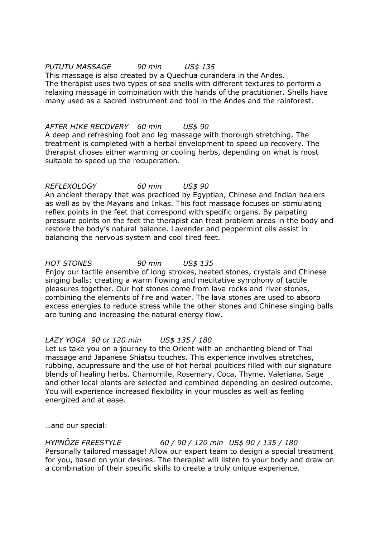# *PUTUTU MASSAGE 90 min US\$ 135*

This massage is also created by a Quechua curandera in the Andes. The therapist uses two types of sea shells with different textures to perform a relaxing massage in combination with the hands of the practitioner. Shells have many used as a sacred instrument and tool in the Andes and the rainforest.

# *AFTER HIKE RECOVERY 60 min US\$ 90*

A deep and refreshing foot and leg massage with thorough stretching. The treatment is completed with a herbal envelopment to speed up recovery. The therapist choses either warming or cooling herbs, depending on what is most suitable to speed up the recuperation.

# *REFLEXOLOGY 60 min US\$ 90*

An ancient therapy that was practiced by Egyptian, Chinese and Indian healers as well as by the Mayans and Inkas. This foot massage focuses on stimulating reflex points in the feet that correspond with specific organs. By palpating pressure points on the feet the therapist can treat problem areas in the body and restore the body's natural balance. Lavender and peppermint oils assist in balancing the nervous system and cool tired feet.

# *HOT STONES 90 min US\$ 135*

Enjoy our tactile ensemble of long strokes, heated stones, crystals and Chinese singing balls; creating a warm flowing and meditative symphony of tactile pleasures together. Our hot stones come from lava rocks and river stones, combining the elements of fire and water. The lava stones are used to absorb excess energies to reduce stress while the other stones and Chinese singing balls are tuning and increasing the natural energy flow.

# *LAZY YOGA 90 or 120 min US\$ 135 / 180*

Let us take you on a journey to the Orient with an enchanting blend of Thai massage and Japanese Shiatsu touches. This experience involves stretches, rubbing, acupressure and the use of hot herbal poultices filled with our signature blends of healing herbs. Chamomile, Rosemary, Coca, Thyme, Valeriana, Sage and other local plants are selected and combined depending on desired outcome. You will experience increased flexibility in your muscles as well as feeling energized and at ease.

…and our special:

# *HYPNÔZE FREESTYLE 60 / 90 / 120 min US\$ 90 / 135 / 180* Personally tailored massage! Allow our expert team to design a special treatment for you, based on your desires. The therapist will listen to your body and draw on a combination of their specific skills to create a truly unique experience.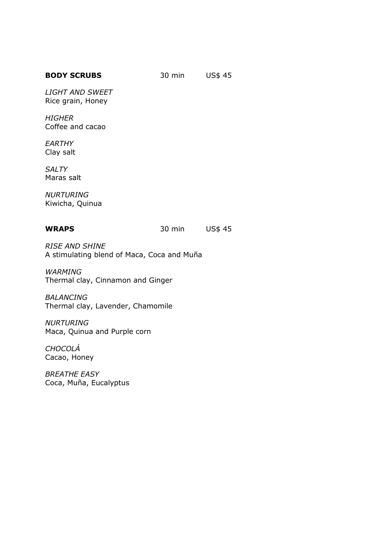# **BODY SCRUBS** 30 min US\$ 45

*LIGHT AND SWEET* Rice grain, Honey

## *HIGHER* Coffee and cacao

*EARTHY* Clay salt

*SALTY* Maras salt

*NURTURING* Kiwicha, Quinua

**WRAPS** 30 min US\$ 45

*RISE AND SHINE* A stimulating blend of Maca, Coca and Muña

*WARMING* Thermal clay, Cinnamon and Ginger

*BALANCING* Thermal clay, Lavender, Chamomile

*NURTURING* Maca, Quinua and Purple corn

*CHOCOLÁ* Cacao, Honey

*BREATHE EASY* Coca, Muña, Eucalyptus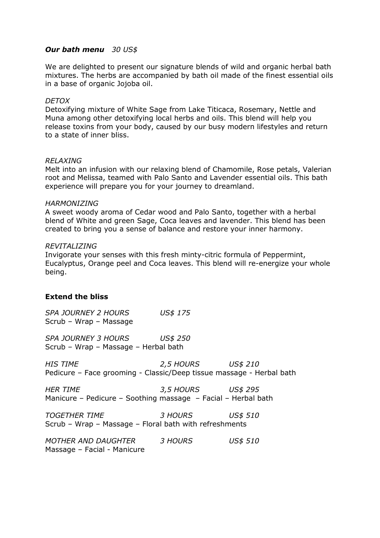## *Our bath menu 30 US\$*

We are delighted to present our signature blends of wild and organic herbal bath mixtures. The herbs are accompanied by bath oil made of the finest essential oils in a base of organic Jojoba oil.

#### *DETOX*

Detoxifying mixture of White Sage from Lake Titicaca, Rosemary, Nettle and Muna among other detoxifying local herbs and oils. This blend will help you release toxins from your body, caused by our busy modern lifestyles and return to a state of inner bliss.

#### *RELAXING*

Melt into an infusion with our relaxing blend of Chamomile, Rose petals, Valerian root and Melissa, teamed with Palo Santo and Lavender essential oils. This bath experience will prepare you for your journey to dreamland.

#### *HARMONIZING*

A sweet woody aroma of Cedar wood and Palo Santo, together with a herbal blend of White and green Sage, Coca leaves and lavender. This blend has been created to bring you a sense of balance and restore your inner harmony.

#### *REVITALIZING*

Invigorate your senses with this fresh minty-citric formula of Peppermint, Eucalyptus, Orange peel and Coca leaves. This blend will re-energize your whole being.

# **Extend the bliss**

*SPA JOURNEY 2 HOURS US\$ 175* Scrub – Wrap – Massage

*SPA JOURNEY 3 HOURS US\$ 250* Scrub – Wrap – Massage – Herbal bath

*HIS TIME 2,5 HOURS US\$ 210* Pedicure – Face grooming - Classic/Deep tissue massage - Herbal bath

*HER TIME 3,5 HOURS US\$ 295* Manicure – Pedicure – Soothing massage – Facial – Herbal bath

*TOGETHER TIME 3 HOURS US\$ 510* Scrub – Wrap – Massage – Floral bath with refreshments

*MOTHER AND DAUGHTER 3 HOURS US\$ 510* Massage – Facial - Manicure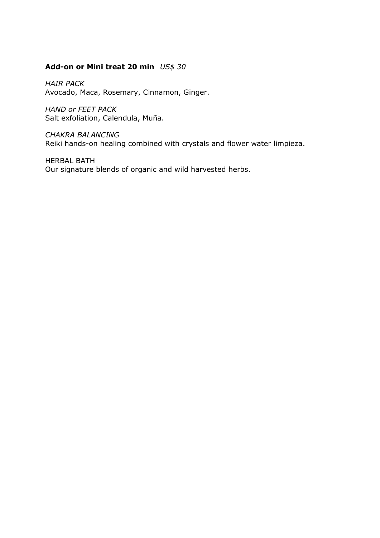# **Add-on or Mini treat 20 min** *US\$ 30*

*HAIR PACK* Avocado, Maca, Rosemary, Cinnamon, Ginger.

*HAND or FEET PACK* Salt exfoliation, Calendula, Muña.

*CHAKRA BALANCING* Reiki hands-on healing combined with crystals and flower water limpieza.

HERBAL BATH Our signature blends of organic and wild harvested herbs.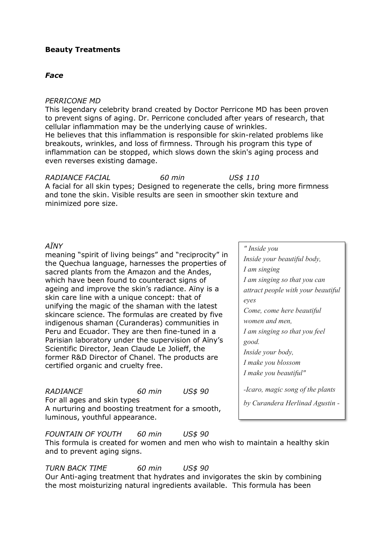## **Beauty Treatments**

#### *Face*

#### *PERRICONE MD*

This legendary celebrity brand created by Doctor Perricone MD has been proven to prevent signs of aging. Dr. Perricone concluded after years of research, that cellular inflammation may be the underlying cause of wrinkles. He believes that this inflammation is responsible for skin-related problems like breakouts, wrinkles, and loss of firmness. Through his program this type of inflammation can be stopped, which slows down the skin's aging process and even reverses existing damage.

#### *RADIANCE FACIAL 60 min US\$ 110*

A facial for all skin types; Designed to regenerate the cells, bring more firmness and tone the skin. Visible results are seen in smoother skin texture and minimized pore size.

#### *AÏNY*

meaning "spirit of living beings" and "reciprocity" in the Quechua language, harnesses the properties of sacred plants from the Amazon and the Andes, which have been found to counteract signs of ageing and improve the skin's radiance. Aïny is a skin care line with a unique concept: that of unifying the magic of the shaman with the latest skincare science. The formulas are created by five indigenous shaman (Curanderas) communities in Peru and Ecuador. They are then fine-tuned in a Parisian laboratory under the supervision of Aïny's Scientific Director, Jean Claude Le Jolieff, the former R&D Director of Chanel. The products are certified organic and cruelty free.

*RADIANCE 60 min US\$ 90* For all ages and skin types A nurturing and boosting treatment for a smooth, luminous, youthful appearance.

*FOUNTAIN OF YOUTH 60 min US\$ 90* This formula is created for women and men who wish to maintain a healthy skin and to prevent aging signs.

*TURN BACK TIME 60 min US\$ 90* Our Anti-aging treatment that hydrates and invigorates the skin by combining the most moisturizing natural ingredients available. This formula has been

*" Inside you Inside your beautiful body, I am singing I am singing so that you can attract people with your beautiful eyes Come, come here beautiful women and men, I am singing so that you feel good. Inside your body, I make you blossom I make you beautiful" -Icaro, magic song of the plants*

*by Curandera Herlinad Agustin -*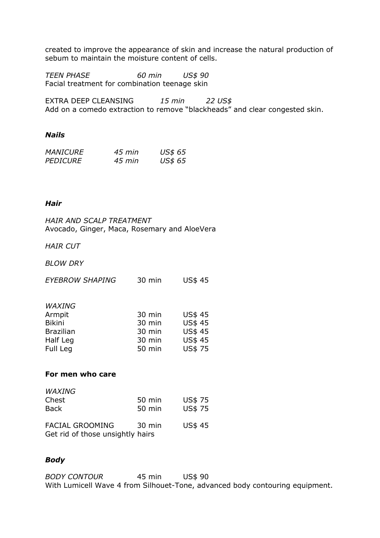created to improve the appearance of skin and increase the natural production of sebum to maintain the moisture content of cells.

*TEEN PHASE 60 min US\$ 90* Facial treatment for combination teenage skin

EXTRA DEEP CLEANSING *15 min 22 US\$*  Add on a comedo extraction to remove "blackheads" and clear congested skin.

#### *Nails*

| <i>MANICURE</i> | 45 min | US\$ 65 |
|-----------------|--------|---------|
| <b>PEDICURE</b> | 45 min | US\$ 65 |

#### *Hair*

*HAIR AND SCALP TREATMENT* Avocado, Ginger, Maca, Rosemary and AloeVera

*HAIR CUT*

*BLOW DRY*

| <b>EYEBROW SHAPING</b> | 30 min | US\$ 45 |
|------------------------|--------|---------|
|                        |        |         |

| 30 min | <b>US\$ 45</b> |
|--------|----------------|
| 30 min | <b>US\$ 45</b> |
| 30 min | <b>US\$ 45</b> |
| 30 min | <b>US\$ 45</b> |
| 50 min | <b>US\$75</b>  |
|        |                |

# **For men who care**

| <b>WAXING</b>                                              |        |                |
|------------------------------------------------------------|--------|----------------|
| Chest                                                      | 50 min | <b>US\$75</b>  |
| <b>Back</b>                                                | 50 min | <b>US\$75</b>  |
| <b>FACIAL GROOMING</b><br>Get rid of those unsightly hairs | 30 min | <b>US\$ 45</b> |

#### *Body*

*BODY CONTOUR* 45 min US\$ 90 With Lumicell Wave 4 from Silhouet-Tone, advanced body contouring equipment.